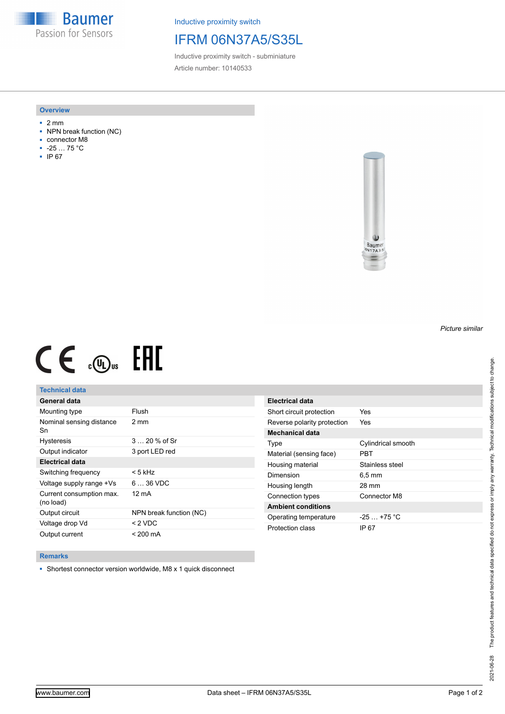**Baumer** Passion for Sensors

Inductive proximity switch

# IFRM 06N37A5/S35L

Inductive proximity switch - subminiature Article number: 10140533

### **Overview**

- 2 mm
- NPN break function (NC)
- connector M8
- -25 … 75 °C
- IP 67



# $CE \mathcal{L}$  (Dus FRE

## **Technical data**

| General data                          |                         |
|---------------------------------------|-------------------------|
| Mounting type                         | Flush                   |
| Nominal sensing distance<br>Sn        | 2 mm                    |
| <b>Hysteresis</b>                     | $320%$ of Sr            |
| Output indicator                      | 3 port LED red          |
| Electrical data                       |                         |
| Switching frequency                   | < 5 kHz                 |
| Voltage supply range +Vs              | $636$ VDC               |
| Current consumption max.<br>(no load) | 12 mA                   |
| Output circuit                        | NPN break function (NC) |
| Voltage drop Vd                       | $<$ 2 VDC               |
| Output current                        | $< 200 \text{ mA}$      |

| Electrical data             |                     |
|-----------------------------|---------------------|
| Short circuit protection    | Yes                 |
| Reverse polarity protection | Yes                 |
| <b>Mechanical data</b>      |                     |
| Type                        | Cylindrical smooth  |
| Material (sensing face)     | PRT                 |
| Housing material            | Stainless steel     |
| Dimension                   | $6.5 \,\mathrm{mm}$ |
| Housing length              | 28 mm               |
| Connection types            | Connector M8        |
| <b>Ambient conditions</b>   |                     |
| Operating temperature       | $-25 + 75$ °C       |
| Protection class            | IP 67               |

#### **Remarks**

■ Shortest connector version worldwide, M8 x 1 quick disconnect

*Picture similar*